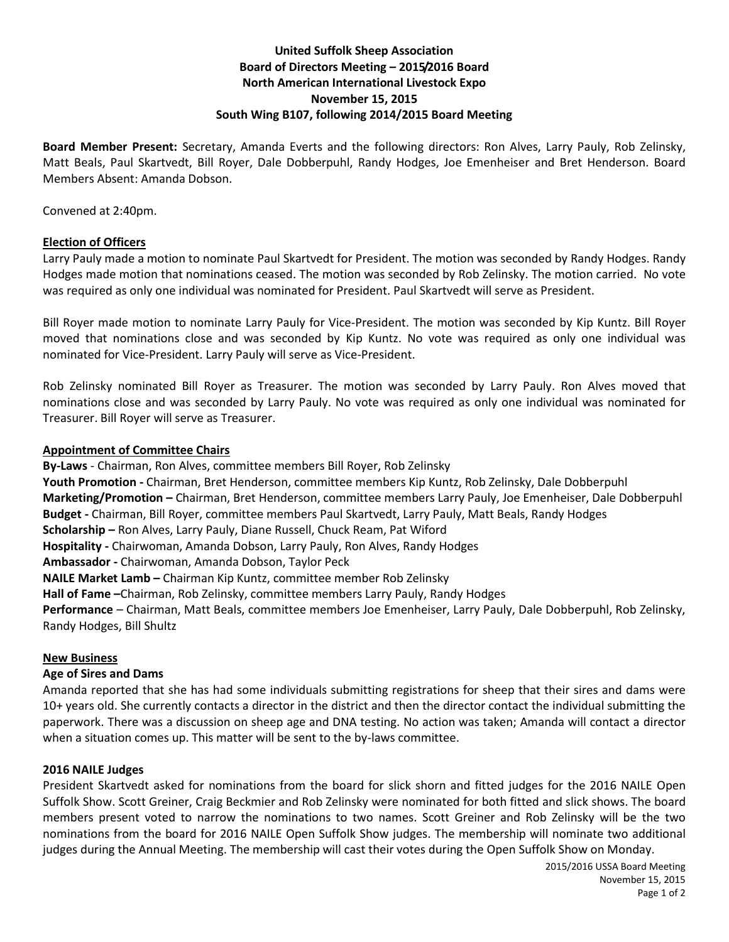# **United Suffolk Sheep Association Board of Directors Meeting – 2015/2016 Board North American International Livestock Expo November 15, 2015 South Wing B107, following 2014/2015 Board Meeting**

**Board Member Present:** Secretary, Amanda Everts and the following directors: Ron Alves, Larry Pauly, Rob Zelinsky, Matt Beals, Paul Skartvedt, Bill Royer, Dale Dobberpuhl, Randy Hodges, Joe Emenheiser and Bret Henderson. Board Members Absent: Amanda Dobson.

Convened at 2:40pm.

# **Election of Officers**

Larry Pauly made a motion to nominate Paul Skartvedt for President. The motion was seconded by Randy Hodges. Randy Hodges made motion that nominations ceased. The motion was seconded by Rob Zelinsky. The motion carried. No vote was required as only one individual was nominated for President. Paul Skartvedt will serve as President.

Bill Royer made motion to nominate Larry Pauly for Vice-President. The motion was seconded by Kip Kuntz. Bill Royer moved that nominations close and was seconded by Kip Kuntz. No vote was required as only one individual was nominated for Vice-President. Larry Pauly will serve as Vice-President.

Rob Zelinsky nominated Bill Royer as Treasurer. The motion was seconded by Larry Pauly. Ron Alves moved that nominations close and was seconded by Larry Pauly. No vote was required as only one individual was nominated for Treasurer. Bill Royer will serve as Treasurer.

# **Appointment of Committee Chairs**

**By-Laws** - Chairman, Ron Alves, committee members Bill Royer, Rob Zelinsky

**Youth Promotion -** Chairman, Bret Henderson, committee members Kip Kuntz, Rob Zelinsky, Dale Dobberpuhl

**Marketing/Promotion –** Chairman, Bret Henderson, committee members Larry Pauly, Joe Emenheiser, Dale Dobberpuhl **Budget -** Chairman, Bill Royer, committee members Paul Skartvedt, Larry Pauly, Matt Beals, Randy Hodges

**Scholarship –** Ron Alves, Larry Pauly, Diane Russell, Chuck Ream, Pat Wiford

**Hospitality -** Chairwoman, Amanda Dobson, Larry Pauly, Ron Alves, Randy Hodges

**Ambassador -** Chairwoman, Amanda Dobson, Taylor Peck

**NAILE Market Lamb –** Chairman Kip Kuntz, committee member Rob Zelinsky

**Hall of Fame –**Chairman, Rob Zelinsky, committee members Larry Pauly, Randy Hodges

**Performance** – Chairman, Matt Beals, committee members Joe Emenheiser, Larry Pauly, Dale Dobberpuhl, Rob Zelinsky, Randy Hodges, Bill Shultz

# **New Business**

# **Age of Sires and Dams**

Amanda reported that she has had some individuals submitting registrations for sheep that their sires and dams were 10+ years old. She currently contacts a director in the district and then the director contact the individual submitting the paperwork. There was a discussion on sheep age and DNA testing. No action was taken; Amanda will contact a director when a situation comes up. This matter will be sent to the by-laws committee.

# **2016 NAILE Judges**

President Skartvedt asked for nominations from the board for slick shorn and fitted judges for the 2016 NAILE Open Suffolk Show. Scott Greiner, Craig Beckmier and Rob Zelinsky were nominated for both fitted and slick shows. The board members present voted to narrow the nominations to two names. Scott Greiner and Rob Zelinsky will be the two nominations from the board for 2016 NAILE Open Suffolk Show judges. The membership will nominate two additional judges during the Annual Meeting. The membership will cast their votes during the Open Suffolk Show on Monday.